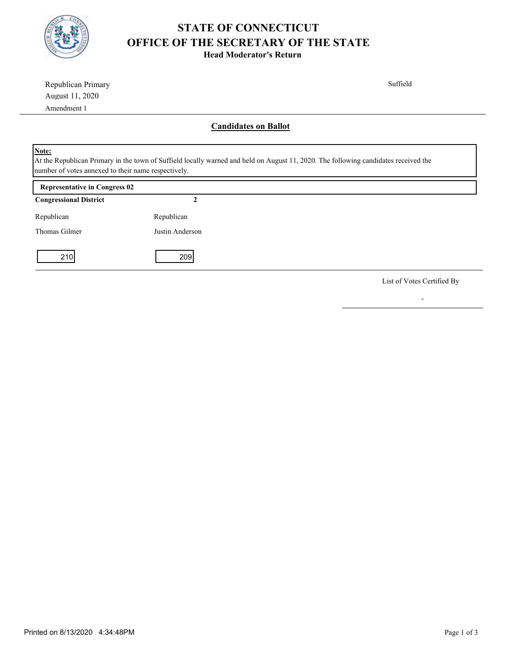

## **STATE OF CONNECTICUT OFFICE OF THE SECRETARY OF THE STATE**

**Head Moderator's Return**

| Republican Primary                                                                                                                                                                                  |                 | Suffield                    |  |
|-----------------------------------------------------------------------------------------------------------------------------------------------------------------------------------------------------|-----------------|-----------------------------|--|
| August 11, 2020                                                                                                                                                                                     |                 |                             |  |
| Amendment 1                                                                                                                                                                                         |                 |                             |  |
|                                                                                                                                                                                                     |                 | <b>Candidates on Ballot</b> |  |
| Note:<br>At the Republican Primary in the town of Suffield locally warned and held on August 11, 2020. The following candidates received the<br>number of votes annexed to their name respectively. |                 |                             |  |
| <b>Representative in Congress 02</b>                                                                                                                                                                |                 |                             |  |
| <b>Congressional District</b>                                                                                                                                                                       | 2               |                             |  |
| Republican                                                                                                                                                                                          | Republican      |                             |  |
| Thomas Gilmer                                                                                                                                                                                       | Justin Anderson |                             |  |
| 210                                                                                                                                                                                                 | 209             |                             |  |

List of Votes Certified By

-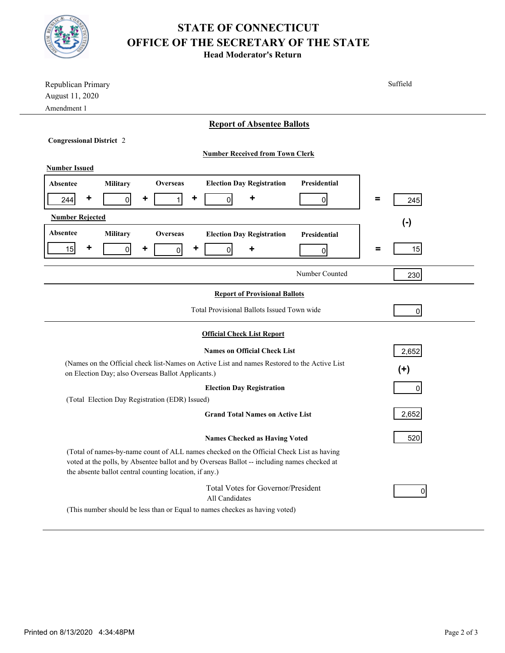

## **STATE OF CONNECTICUT OFFICE OF THE SECRETARY OF THE STATE**

**Head Moderator's Return**

| Republican Primary<br>August 11, 2020<br>Amendment 1                                                                                                                                                                                             | Suffield       |  |  |  |
|--------------------------------------------------------------------------------------------------------------------------------------------------------------------------------------------------------------------------------------------------|----------------|--|--|--|
| <b>Report of Absentee Ballots</b>                                                                                                                                                                                                                |                |  |  |  |
| <b>Congressional District 2</b>                                                                                                                                                                                                                  |                |  |  |  |
| <b>Number Received from Town Clerk</b>                                                                                                                                                                                                           |                |  |  |  |
| <b>Number Issued</b>                                                                                                                                                                                                                             |                |  |  |  |
| <b>Election Day Registration</b><br>Presidential<br>Military<br><b>Overseas</b><br><b>Absentee</b>                                                                                                                                               |                |  |  |  |
| ٠<br>٠<br>٠<br>٠<br>$\overline{0}$<br>1<br>244<br>$\overline{0}$<br>01                                                                                                                                                                           | =<br>245       |  |  |  |
| <b>Number Rejected</b>                                                                                                                                                                                                                           | $(\cdot)$      |  |  |  |
| Absentee<br>Military<br><b>Overseas</b><br><b>Election Day Registration</b><br>Presidential                                                                                                                                                      |                |  |  |  |
| ٠<br>٠<br>٠<br>15<br>$\overline{0}$<br>$\overline{0}$<br>٠<br>$\overline{0}$<br>$\overline{0}$                                                                                                                                                   | 15<br>Ξ        |  |  |  |
| Number Counted                                                                                                                                                                                                                                   | 230            |  |  |  |
| <b>Report of Provisional Ballots</b>                                                                                                                                                                                                             |                |  |  |  |
| Total Provisional Ballots Issued Town wide                                                                                                                                                                                                       | $\overline{0}$ |  |  |  |
| <b>Official Check List Report</b>                                                                                                                                                                                                                |                |  |  |  |
| <b>Names on Official Check List</b>                                                                                                                                                                                                              | 2,652          |  |  |  |
| (Names on the Official check list-Names on Active List and names Restored to the Active List<br>on Election Day; also Overseas Ballot Applicants.)                                                                                               | $(+)$          |  |  |  |
| <b>Election Day Registration</b><br>0                                                                                                                                                                                                            |                |  |  |  |
| (Total Election Day Registration (EDR) Issued)                                                                                                                                                                                                   |                |  |  |  |
| <b>Grand Total Names on Active List</b>                                                                                                                                                                                                          | 2,652          |  |  |  |
| <b>Names Checked as Having Voted</b>                                                                                                                                                                                                             | 520            |  |  |  |
| (Total of names-by-name count of ALL names checked on the Official Check List as having<br>voted at the polls, by Absentee ballot and by Overseas Ballot -- including names checked at<br>the absente ballot central counting location, if any.) |                |  |  |  |
| Total Votes for Governor/President<br>All Candidates                                                                                                                                                                                             | 0              |  |  |  |
| (This number should be less than or Equal to names checkes as having voted)                                                                                                                                                                      |                |  |  |  |